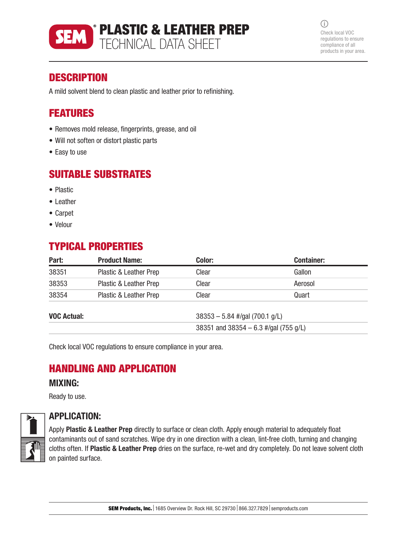

 $\bigcirc$ Check local VOC regulations to ensure compliance of all products in your area.

### **DESCRIPTION**

A mild solvent blend to clean plastic and leather prior to refinishing.

## FEATURES

- Removes mold release, fingerprints, grease, and oil
- Will not soften or distort plastic parts
- Easy to use

### SUITABLE SUBSTRATES

- Plastic
- Leather
- Carpet
- Velour

# TYPICAL PROPERTIES

| Part:              | <b>Product Name:</b>              | Color:                                | <b>Container:</b> |
|--------------------|-----------------------------------|---------------------------------------|-------------------|
| 38351              | Plastic & Leather Prep            | Clear                                 | Gallon            |
| 38353              | Plastic & Leather Prep            | Clear                                 | Aerosol           |
| 38354              | <b>Plastic &amp; Leather Prep</b> | Clear                                 | Quart             |
| <b>VOC Actual:</b> |                                   | $38353 - 5.84$ #/gal (700.1 g/L)      |                   |
|                    |                                   | 38351 and 38354 - 6.3 #/gal (755 g/L) |                   |

Check local VOC regulations to ensure compliance in your area.

# HANDLING AND APPLICATION

#### MIXING:

Ready to use.



### APPLICATION:

Apply Plastic & Leather Prep directly to surface or clean cloth. Apply enough material to adequately float contaminants out of sand scratches. Wipe dry in one direction with a clean, lint-free cloth, turning and changing cloths often. If Plastic & Leather Prep dries on the surface, re-wet and dry completely. Do not leave solvent cloth on painted surface.